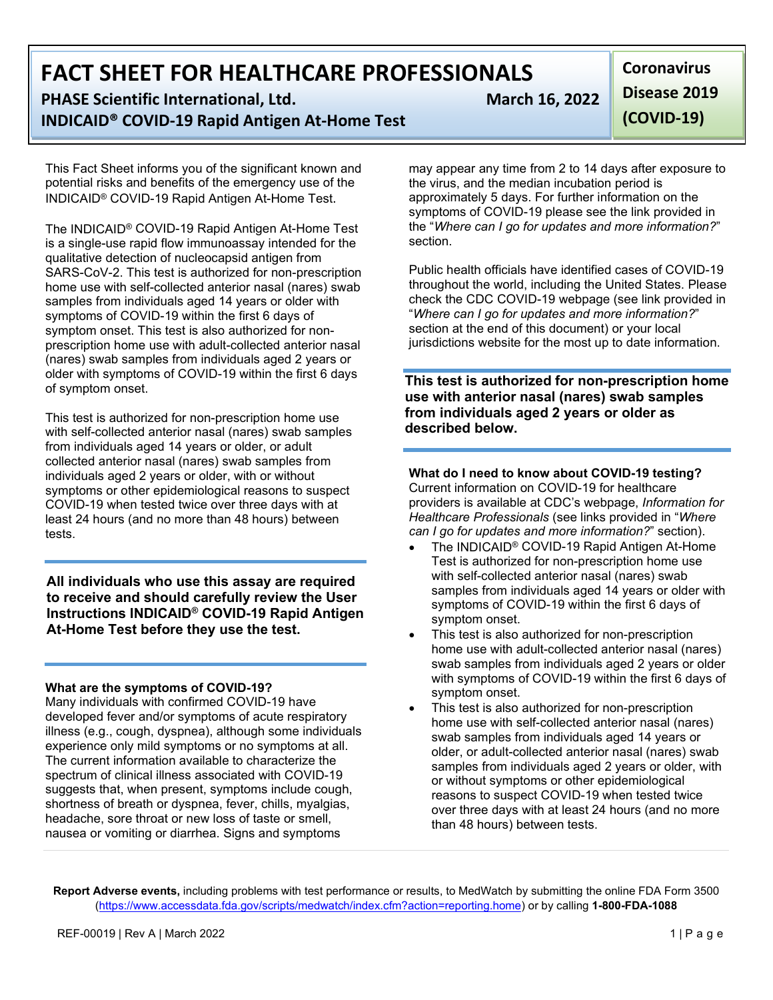**PHASE Scientific International, Ltd.** March 16, 2022 **INDICAID® COVID-19 Rapid Antigen At-Home Test**

This Fact Sheet informs you of the significant known and potential risks and benefits of the emergency use of the INDICAID® COVID-19 Rapid Antigen At-Home Test.

The INDICAID® COVID-19 Rapid Antigen At-Home Test is a single-use rapid flow immunoassay intended for the qualitative detection of nucleocapsid antigen from SARS-CoV-2. This test is authorized for non-prescription home use with self-collected anterior nasal (nares) swab samples from individuals aged 14 years or older with symptoms of COVID-19 within the first 6 days of symptom onset. This test is also authorized for nonprescription home use with adult-collected anterior nasal (nares) swab samples from individuals aged 2 years or older with symptoms of COVID-19 within the first 6 days of symptom onset.

This test is authorized for non-prescription home use with self-collected anterior nasal (nares) swab samples from individuals aged 14 years or older, or adult collected anterior nasal (nares) swab samples from individuals aged 2 years or older, with or without symptoms or other epidemiological reasons to suspect COVID-19 when tested twice over three days with at least 24 hours (and no more than 48 hours) between tests.

**All individuals who use this assay are required to receive and should carefully review the User Instructions INDICAID® COVID-19 Rapid Antigen At-Home Test before they use the test.** 

#### **What are the symptoms of COVID-19?**

Many individuals with confirmed COVID-19 have developed fever and/or symptoms of acute respiratory illness (e.g., cough, dyspnea), although some individuals experience only mild symptoms or no symptoms at all. The current information available to characterize the spectrum of clinical illness associated with COVID-19 suggests that, when present, symptoms include cough, shortness of breath or dyspnea, fever, chills, myalgias, headache, sore throat or new loss of taste or smell, nausea or vomiting or diarrhea. Signs and symptoms

**Coronavirus Disease 2019 (COVID-19)**

may appear any time from 2 to 14 days after exposure to the virus, and the median incubation period is approximately 5 days. For further information on the symptoms of COVID-19 please see the link provided in the "*Where can I go for updates and more information?*" section.

Public health officials have identified cases of COVID-19 throughout the world, including the United States. Please check the CDC COVID-19 webpage (see link provided in "*Where can I go for updates and more information?*" section at the end of this document) or your local jurisdictions website for the most up to date information.

**This test is authorized for non-prescription home use with anterior nasal (nares) swab samples from individuals aged 2 years or older as described below.**

### **What do I need to know about COVID-19 testing?**

Current information on COVID-19 for healthcare providers is available at CDC's webpage, *Information for Healthcare Professionals* (see links provided in "*Where can I go for updates and more information?*" section).

- The INDICAID<sup>®</sup> COVID-19 Rapid Antigen At-Home Test is authorized for non-prescription home use with self-collected anterior nasal (nares) swab samples from individuals aged 14 years or older with symptoms of COVID-19 within the first 6 days of symptom onset.
- This test is also authorized for non-prescription home use with adult-collected anterior nasal (nares) swab samples from individuals aged 2 years or older with symptoms of COVID-19 within the first 6 days of symptom onset.
- This test is also authorized for non-prescription home use with self-collected anterior nasal (nares) swab samples from individuals aged 14 years or older, or adult-collected anterior nasal (nares) swab samples from individuals aged 2 years or older, with or without symptoms or other epidemiological reasons to suspect COVID-19 when tested twice over three days with at least 24 hours (and no more than 48 hours) between tests.

**Report Adverse events,** including problems with test performance or results, to MedWatch by submitting the online FDA Form 3500 [\(https://www.accessdata.fda.gov/scripts/medwatch/index.cfm?action=reporting.home\)](https://www.accessdata.fda.gov/scripts/medwatch/index.cfm?action=reporting.home) or by calling **1-800-FDA-1088**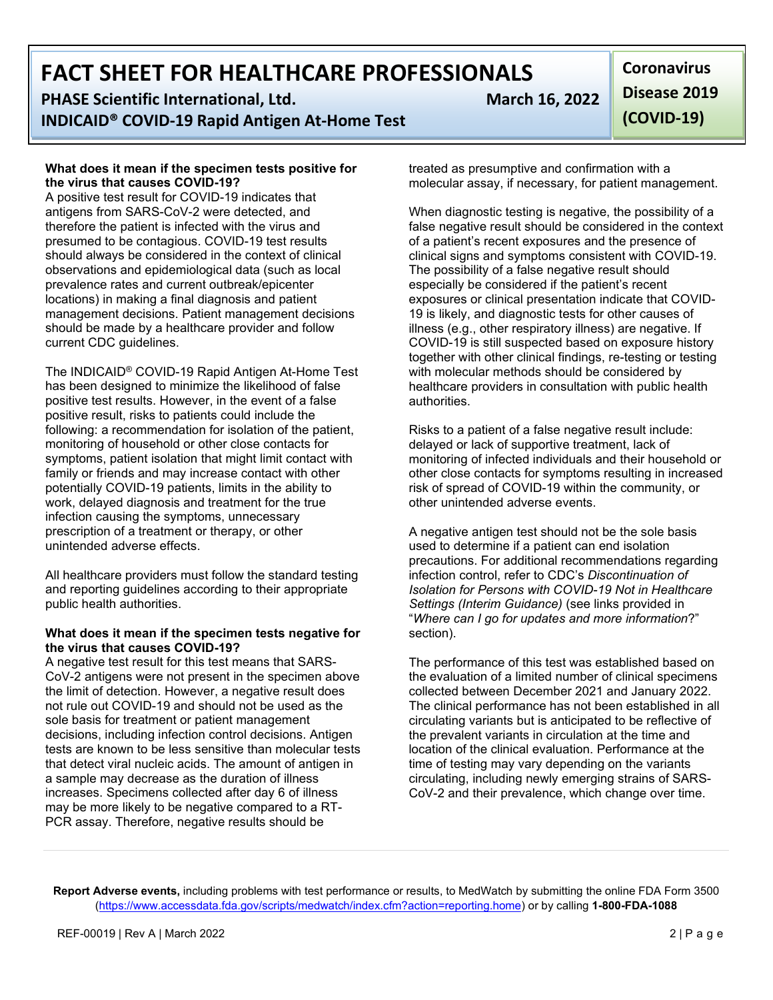**PHASE Scientific International, Ltd. March 16, 2022 INDICAID® COVID-19 Rapid Antigen At-Home Test**

#### **What does it mean if the specimen tests positive for the virus that causes COVID-19?**

A positive test result for COVID-19 indicates that antigens from SARS-CoV-2 were detected, and therefore the patient is infected with the virus and presumed to be contagious. COVID-19 test results should always be considered in the context of clinical observations and epidemiological data (such as local prevalence rates and current outbreak/epicenter locations) in making a final diagnosis and patient management decisions. Patient management decisions should be made by a healthcare provider and follow current CDC guidelines.

The INDICAID® COVID-19 Rapid Antigen At-Home Test has been designed to minimize the likelihood of false positive test results. However, in the event of a false positive result, risks to patients could include the following: a recommendation for isolation of the patient, monitoring of household or other close contacts for symptoms, patient isolation that might limit contact with family or friends and may increase contact with other potentially COVID-19 patients, limits in the ability to work, delayed diagnosis and treatment for the true infection causing the symptoms, unnecessary prescription of a treatment or therapy, or other unintended adverse effects.

All healthcare providers must follow the standard testing and reporting guidelines according to their appropriate public health authorities.

#### **What does it mean if the specimen tests negative for the virus that causes COVID-19?**

A negative test result for this test means that SARS-CoV-2 antigens were not present in the specimen above the limit of detection. However, a negative result does not rule out COVID-19 and should not be used as the sole basis for treatment or patient management decisions, including infection control decisions. Antigen tests are known to be less sensitive than molecular tests that detect viral nucleic acids. The amount of antigen in a sample may decrease as the duration of illness increases. Specimens collected after day 6 of illness may be more likely to be negative compared to a RT-PCR assay. Therefore, negative results should be

treated as presumptive and confirmation with a molecular assay, if necessary, for patient management.

When diagnostic testing is negative, the possibility of a false negative result should be considered in the context of a patient's recent exposures and the presence of clinical signs and symptoms consistent with COVID-19. The possibility of a false negative result should especially be considered if the patient's recent exposures or clinical presentation indicate that COVID-19 is likely, and diagnostic tests for other causes of illness (e.g., other respiratory illness) are negative. If COVID-19 is still suspected based on exposure history together with other clinical findings, re-testing or testing with molecular methods should be considered by healthcare providers in consultation with public health authorities.

Risks to a patient of a false negative result include: delayed or lack of supportive treatment, lack of monitoring of infected individuals and their household or other close contacts for symptoms resulting in increased risk of spread of COVID-19 within the community, or other unintended adverse events.

A negative antigen test should not be the sole basis used to determine if a patient can end isolation precautions. For additional recommendations regarding infection control, refer to CDC's *Discontinuation of Isolation for Persons with COVID-19 Not in Healthcare Settings (Interim Guidance)* (see links provided in "*Where can I go for updates and more information*?" section).

The performance of this test was established based on the evaluation of a limited number of clinical specimens collected between December 2021 and January 2022. The clinical performance has not been established in all circulating variants but is anticipated to be reflective of the prevalent variants in circulation at the time and location of the clinical evaluation. Performance at the time of testing may vary depending on the variants circulating, including newly emerging strains of SARS-CoV-2 and their prevalence, which change over time.

**Report Adverse events,** including problems with test performance or results, to MedWatch by submitting the online FDA Form 3500 [\(https://www.accessdata.fda.gov/scripts/medwatch/index.cfm?action=reporting.home\)](https://www.accessdata.fda.gov/scripts/medwatch/index.cfm?action=reporting.home) or by calling **1-800-FDA-1088**

**Coronavirus** 

**Disease 2019 (COVID-19)**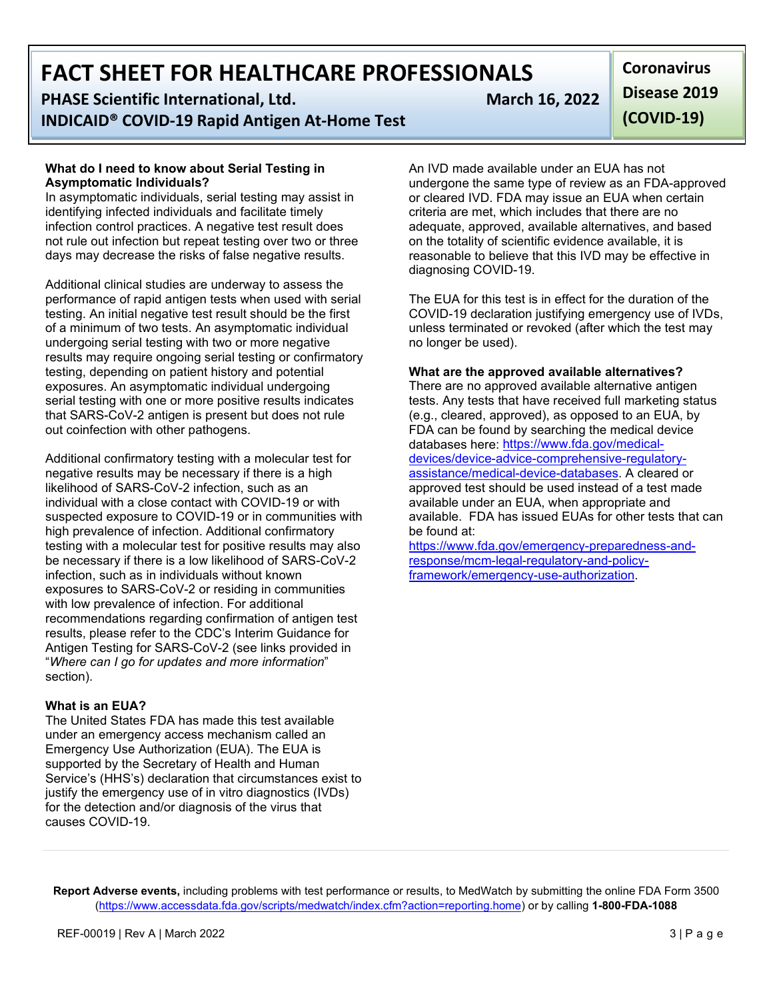**PHASE Scientific International, Ltd.** March 16, 2022 **INDICAID® COVID-19 Rapid Antigen At-Home Test**

#### **What do I need to know about Serial Testing in Asymptomatic Individuals?**

In asymptomatic individuals, serial testing may assist in identifying infected individuals and facilitate timely infection control practices. A negative test result does not rule out infection but repeat testing over two or three days may decrease the risks of false negative results.

Additional clinical studies are underway to assess the performance of rapid antigen tests when used with serial testing. An initial negative test result should be the first of a minimum of two tests. An asymptomatic individual undergoing serial testing with two or more negative results may require ongoing serial testing or confirmatory testing, depending on patient history and potential exposures. An asymptomatic individual undergoing serial testing with one or more positive results indicates that SARS-CoV-2 antigen is present but does not rule out coinfection with other pathogens.

Additional confirmatory testing with a molecular test for negative results may be necessary if there is a high likelihood of SARS-CoV-2 infection, such as an individual with a close contact with COVID-19 or with suspected exposure to COVID-19 or in communities with high prevalence of infection. Additional confirmatory testing with a molecular test for positive results may also be necessary if there is a low likelihood of SARS-CoV-2 infection, such as in individuals without known exposures to SARS-CoV-2 or residing in communities with low prevalence of infection. For additional recommendations regarding confirmation of antigen test results, please refer to the CDC's Interim Guidance for Antigen Testing for SARS-CoV-2 (see links provided in "*Where can I go for updates and more information*" section).

#### **What is an EUA?**

The United States FDA has made this test available under an emergency access mechanism called an Emergency Use Authorization (EUA). The EUA is supported by the Secretary of Health and Human Service's (HHS's) declaration that circumstances exist to justify the emergency use of in vitro diagnostics (IVDs) for the detection and/or diagnosis of the virus that causes COVID-19.

**Coronavirus Disease 2019 (COVID-19)**

An IVD made available under an EUA has not undergone the same type of review as an FDA-approved or cleared IVD. FDA may issue an EUA when certain criteria are met, which includes that there are no adequate, approved, available alternatives, and based on the totality of scientific evidence available, it is reasonable to believe that this IVD may be effective in diagnosing COVID-19.

The EUA for this test is in effect for the duration of the COVID-19 declaration justifying emergency use of IVDs, unless terminated or revoked (after which the test may no longer be used).

#### **What are the approved available alternatives?**

There are no approved available alternative antigen tests. Any tests that have received full marketing status (e.g., cleared, approved), as opposed to an EUA, by FDA can be found by searching the medical device databases here: [https://www.fda.gov/medical](https://www.fda.gov/medical-devices/device-advice-comprehensive-regulatory-assistance/medical-device-databases)[devices/device-advice-comprehensive-regulatory](https://www.fda.gov/medical-devices/device-advice-comprehensive-regulatory-assistance/medical-device-databases)[assistance/medical-device-databases.](https://www.fda.gov/medical-devices/device-advice-comprehensive-regulatory-assistance/medical-device-databases) A cleared or approved test should be used instead of a test made available under an EUA, when appropriate and available. FDA has issued EUAs for other tests that can be found at:

[https://www.fda.gov/emergency-preparedness-and](https://www.fda.gov/emergency-preparedness-and-response/mcm-legal-regulatory-and-policy-framework/emergency-use-authorization)[response/mcm-legal-regulatory-and-policy](https://www.fda.gov/emergency-preparedness-and-response/mcm-legal-regulatory-and-policy-framework/emergency-use-authorization)[framework/emergency-use-authorization.](https://www.fda.gov/emergency-preparedness-and-response/mcm-legal-regulatory-and-policy-framework/emergency-use-authorization)

**Report Adverse events,** including problems with test performance or results, to MedWatch by submitting the online FDA Form 3500 [\(https://www.accessdata.fda.gov/scripts/medwatch/index.cfm?action=reporting.home\)](https://www.accessdata.fda.gov/scripts/medwatch/index.cfm?action=reporting.home) or by calling **1-800-FDA-1088**